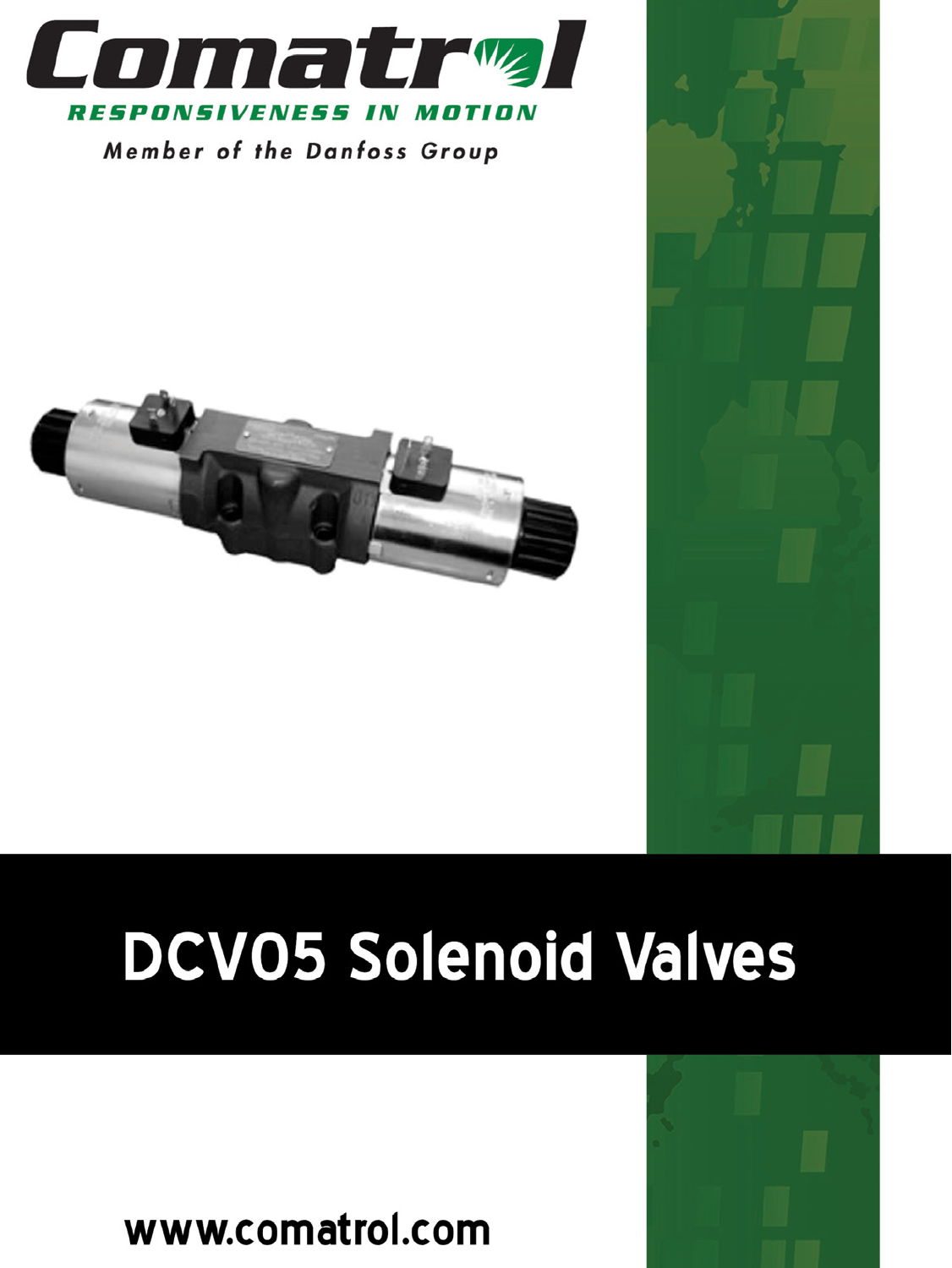

Member of the Danfoss Group



# **DCV05 Solenoid Valves**

www.comatrol.com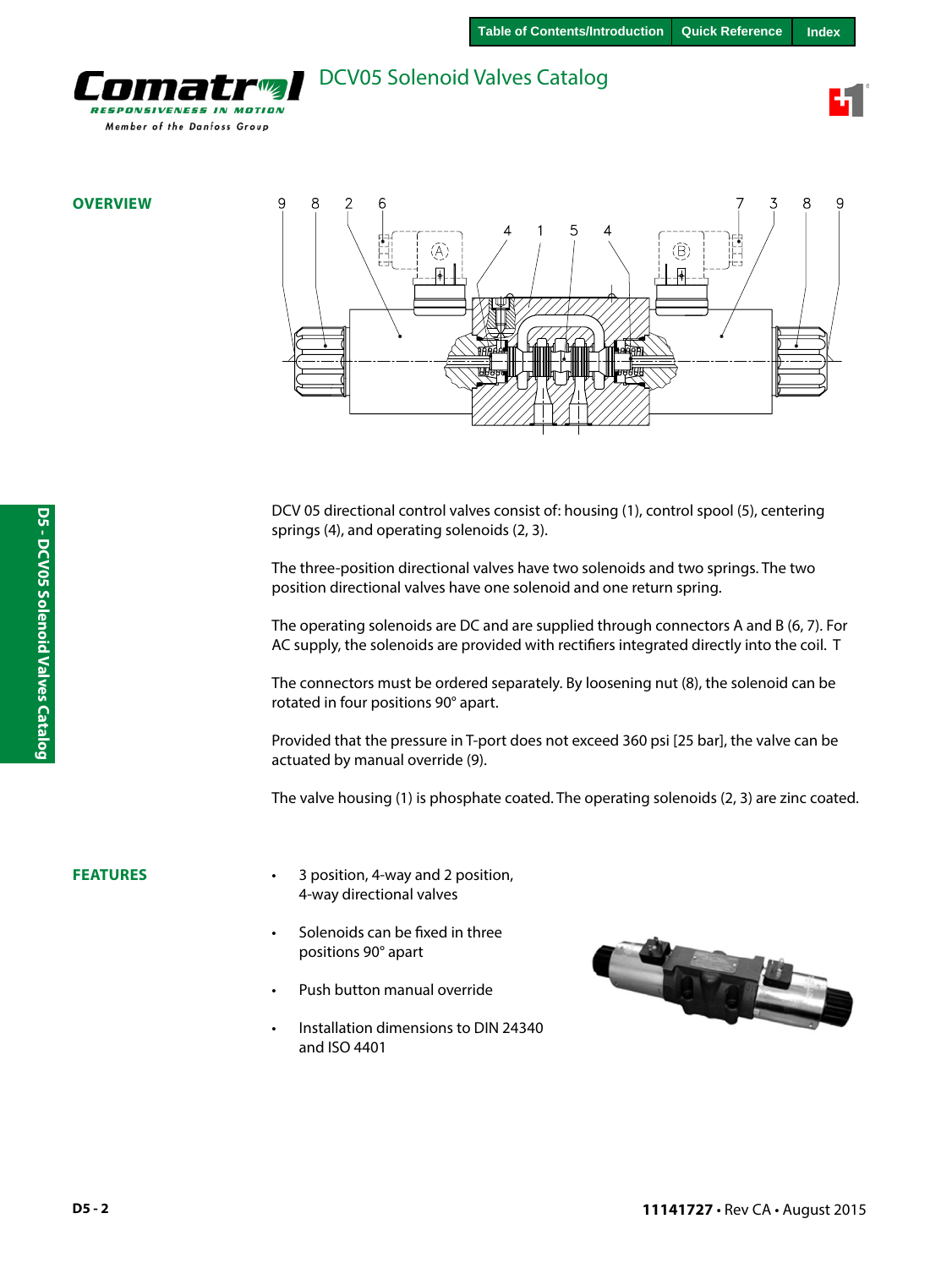<span id="page-1-0"></span>

**OVERVIEW**



DCV 05 directional control valves consist of: housing (1), control spool (5), centering springs (4), and operating solenoids (2, 3).

The three-position directional valves have two solenoids and two springs. The two position directional valves have one solenoid and one return spring.

The operating solenoids are DC and are supplied through connectors A and B (6, 7). For AC supply, the solenoids are provided with rectifiers integrated directly into the coil. T

The connectors must be ordered separately. By loosening nut (8), the solenoid can be rotated in four positions 90° apart.

Provided that the pressure in T-port does not exceed 360 psi [25 bar], the valve can be actuated by manual override (9).

The valve housing (1) is phosphate coated. The operating solenoids (2, 3) are zinc coated.

#### **FEATURES**

- 3 position, 4-way and 2 position, 4-way directional valves
- Solenoids can be fixed in three positions 90° apart
- Push button manual override
- Installation dimensions to DIN 24340 and ISO 4401



**D5 - DCV05 Solenoid Valves Catalog**

D5 - DCV05 Solenoid Valves Catalog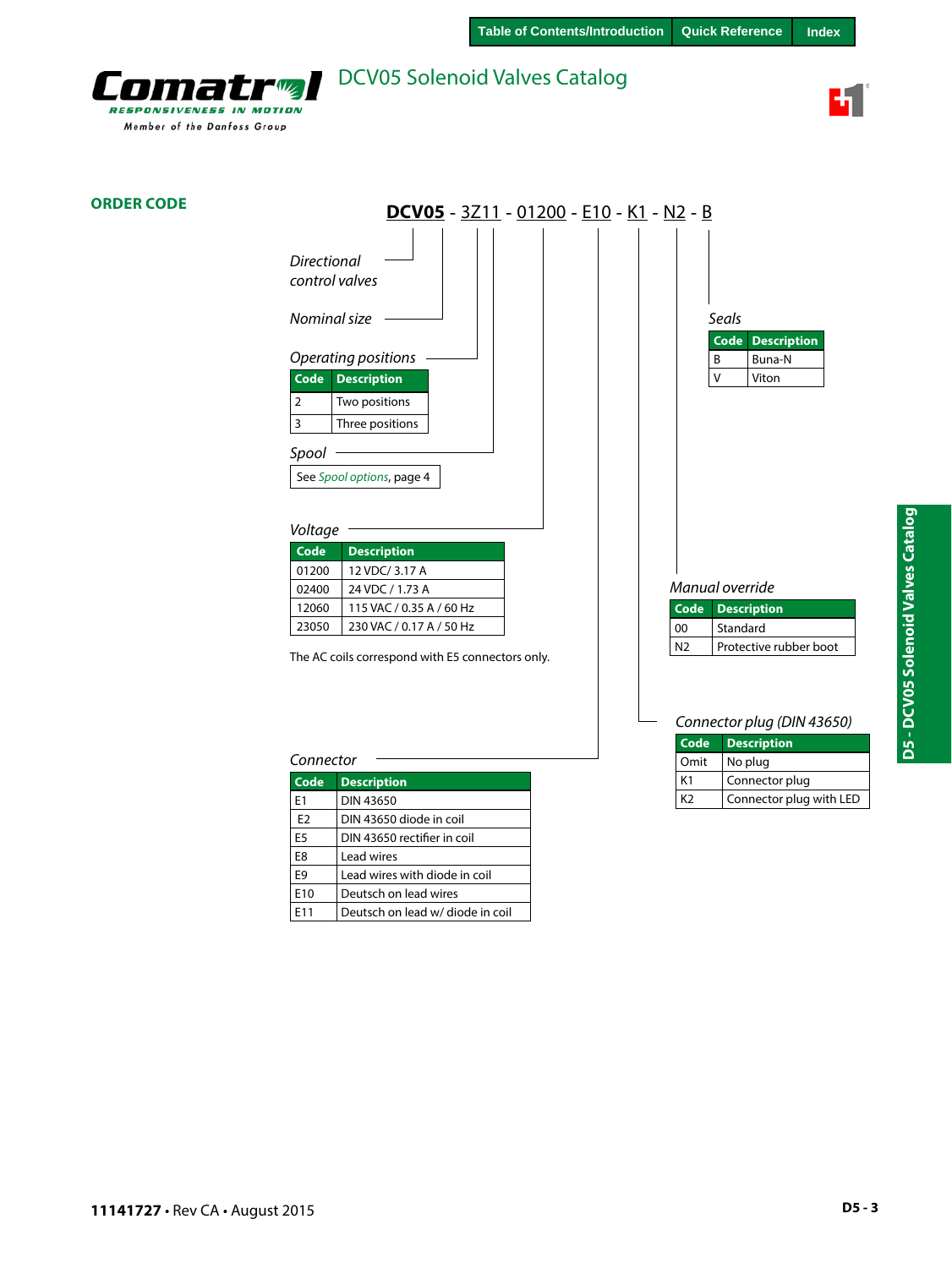



### **ORDER CODE**

| DCV05 - 3Z11 - 01200 - E10 - K1 - N2 - B         |                                          |
|--------------------------------------------------|------------------------------------------|
| <b>Directional</b><br>control valves             |                                          |
| Nominal size                                     | Seals<br>Code<br><b>Description</b>      |
| Operating positions                              | Buna-N<br>B                              |
| <b>Code</b><br><b>Description</b>                | $\vee$<br>Viton                          |
| Two positions<br>$\overline{2}$                  |                                          |
| 3<br>Three positions                             |                                          |
| Spool                                            |                                          |
| See Spool options, page 4                        |                                          |
| Voltage                                          |                                          |
| Code<br><b>Description</b>                       |                                          |
| 12 VDC/ 3.17 A<br>01200                          |                                          |
| 24 VDC / 1.73 A<br>02400                         | Manual override                          |
| 115 VAC / 0.35 A / 60 Hz<br>12060                | Code<br><b>Description</b>               |
| 230 VAC / 0.17 A / 50 Hz<br>23050                | Standard<br>00                           |
| The AC coils correspond with E5 connectors only. | Protective rubber boot<br>N <sub>2</sub> |
|                                                  | Connector plug (DIN 43650)               |

#### *Connector*

| Code            | <b>Description</b>               |
|-----------------|----------------------------------|
| F <sub>1</sub>  | DIN 43650                        |
| F <sub>2</sub>  | DIN 43650 diode in coil          |
| E <sub>5</sub>  | DIN 43650 rectifier in coil      |
| F <sub>8</sub>  | Lead wires                       |
| F9              | Lead wires with diode in coil    |
| F <sub>10</sub> | Deutsch on lead wires            |
| F11             | Deutsch on lead w/ diode in coil |

| Code           | <b>Description</b>      |
|----------------|-------------------------|
| Omit           | No plug                 |
| K1             | Connector plug          |
| K <sub>2</sub> | Connector plug with LED |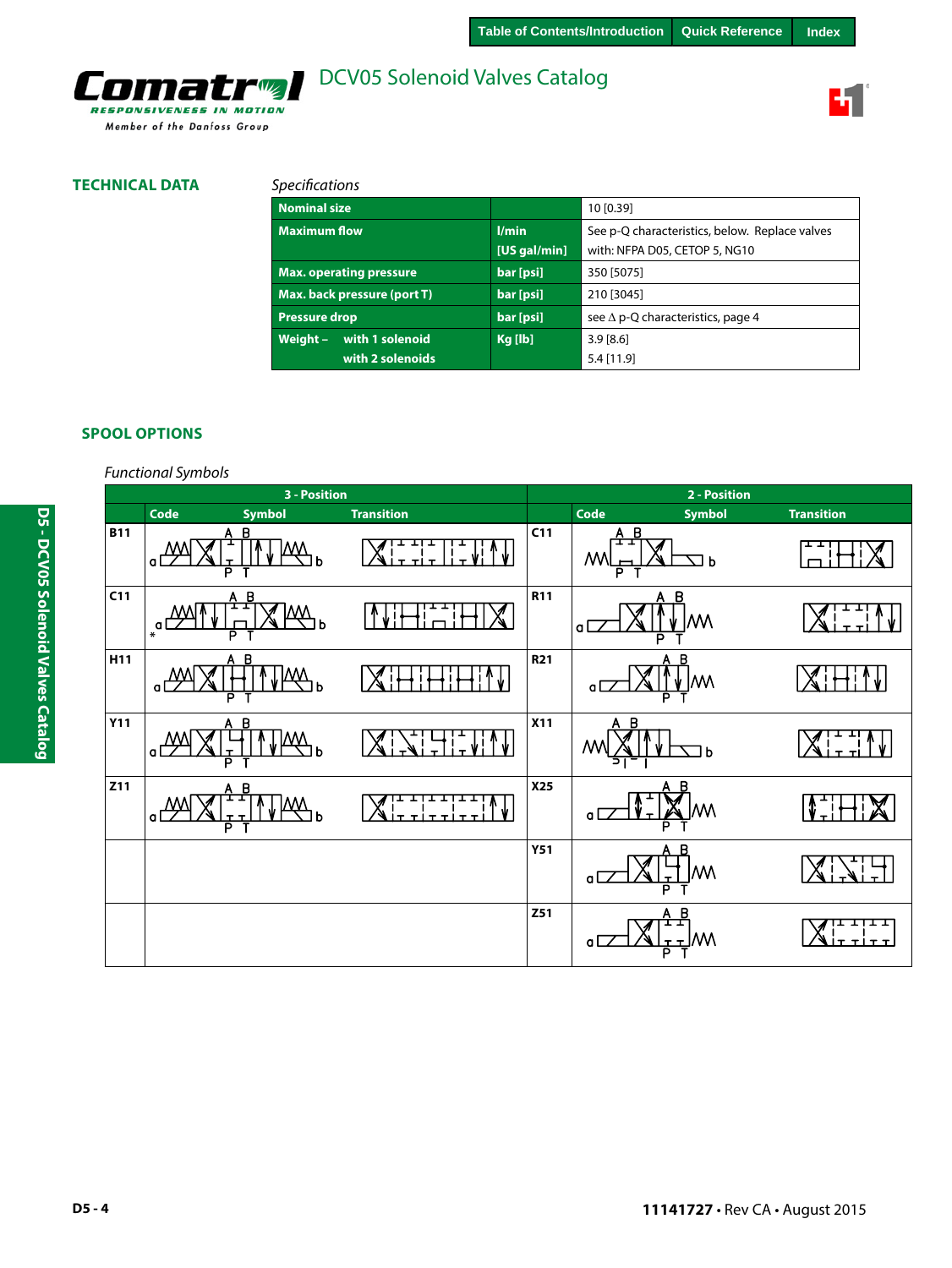

### **TECHNICAL DATA**

Comatrol

RESPONSIVENESS IN MOTION Member of the Danfoss Group

### *Specifications*

| <b>Nominal size</b>                      |                         | 10 [0.39]                                      |  |
|------------------------------------------|-------------------------|------------------------------------------------|--|
| <b>Maximum flow</b>                      | l/min                   | See p-Q characteristics, below. Replace valves |  |
|                                          | [US gal/min]            | with: NFPA D05, CETOP 5, NG10                  |  |
| <b>Max. operating pressure</b>           | bar [psi]<br>350 [5075] |                                                |  |
| Max. back pressure (port T)<br>bar [psi] |                         | 210 [3045]                                     |  |
| <b>Pressure drop</b>                     | bar [psi]               | see $\Delta$ p-Q characteristics, page 4       |  |
| with 1 solenoid<br>Weight $-$            | Kg [lb]                 | 3.9[8.6]                                       |  |
| with 2 solenoids                         |                         | $5.4$ [11.9]                                   |  |

### **SPOOL OPTIONS**

### *Functional Symbols*

|            |                | 3 - Position      |                              |                 |                          | 2 - Position           |                   |
|------------|----------------|-------------------|------------------------------|-----------------|--------------------------|------------------------|-------------------|
|            | Code           | <b>Symbol</b>     | <b>Transition</b>            |                 | Code                     | Symbol                 | <b>Transition</b> |
| <b>B11</b> | $\Omega$       | В<br>b<br>Б       |                              | C11             | A B<br>ᇁ<br>/W<br>Р      | 그 Þ                    |                   |
| C11        | $\mathbf{a}^*$ | B<br>M٨<br>b<br>P |                              | <b>R11</b>      | a<br>P                   | B<br>W                 |                   |
| H11        | $\alpha$       | $A$ $B$<br>h<br>P |                              | R <sub>21</sub> | a                        | A B<br>M٨              |                   |
| <b>Y11</b> | $\Omega$       | A B<br>ь<br>D     |                              | <b>X11</b>      | $\overline{B}$<br>A<br>Μ | b                      |                   |
| Z11        | $\alpha$       | B<br>Α<br>b<br>P  | ı<br>$T$ T<br>T T  <br>$T$ T | <b>X25</b>      | a l<br>D                 |                        |                   |
|            |                |                   |                              | <b>Y51</b>      | a l                      | M\<br>P                |                   |
|            |                |                   |                              | Z51             | a l                      | B<br>A<br>I<br>IW<br>P | <b>T TITT</b>     |

**11141727** • Rev CA • August 2015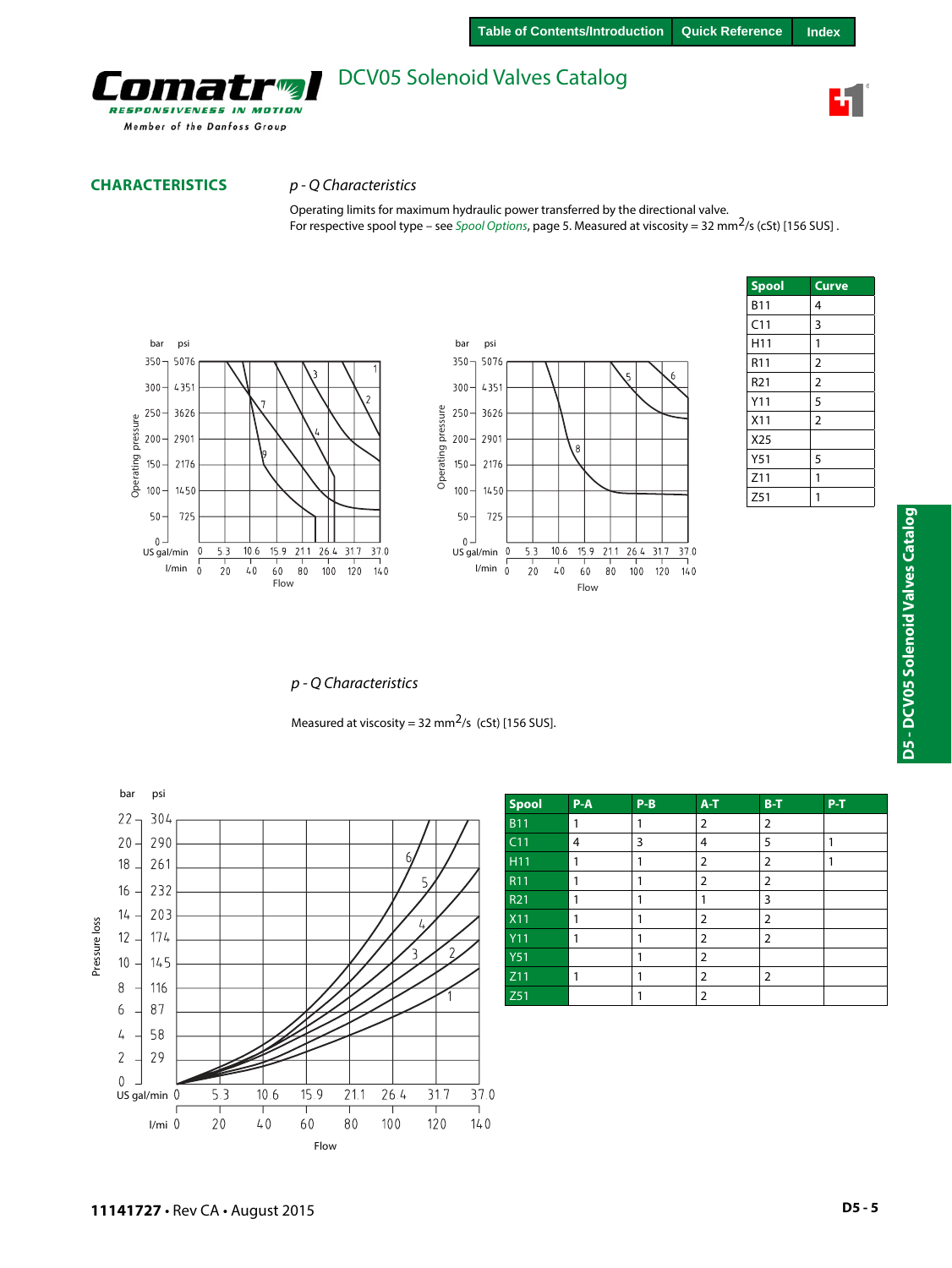

### **CHARACTERISTICS** *p - Q Characteristics*

Operating limits for maximum hydraulic power transferred by the directional valve. For respective spool type – see *Spool Options*, page 5. Measured at viscosity = 32 mm2/s (cSt) [156 SUS] .



| <b>Spool</b>    | <b>Curve</b>   |
|-----------------|----------------|
| <b>B11</b>      | 4              |
| C11             | 3              |
| H <sub>11</sub> | 1              |
| R <sub>11</sub> | $\overline{c}$ |
| R <sub>21</sub> | $\overline{2}$ |
| Y11             | 5              |
| X11             | $\overline{2}$ |
| X25             |                |
| Y <sub>51</sub> | 5              |
| Z11             | 1              |
| Z51             | 1              |

### *p - Q Characteristics*

Measured at viscosity = 32 mm<sup>2</sup>/s (cSt) [156 SUS].



| Spool           | $P-A$          | $P-B$ | $A-T$ | $B-T$          | $P-T$ |
|-----------------|----------------|-------|-------|----------------|-------|
| <b>B11</b>      | 1              |       | 2     | 2              |       |
| C <sub>11</sub> | $\overline{4}$ | 3     | 4     | 5              |       |
| H11             | 1              |       | 2     | 2              |       |
| R <sub>11</sub> | 1              |       | 2     | 2              |       |
| R <sub>21</sub> | 1              |       |       | 3              |       |
| <b>X11</b>      | 1              |       | 2     | 2              |       |
| <b>Y11</b>      | 1              |       | 2     | 2              |       |
| <b>Y51</b>      |                |       | 2     |                |       |
| Z11             | 1              |       | 2     | $\overline{2}$ |       |
| Z51             |                |       | 2     |                |       |

37.0

 $140$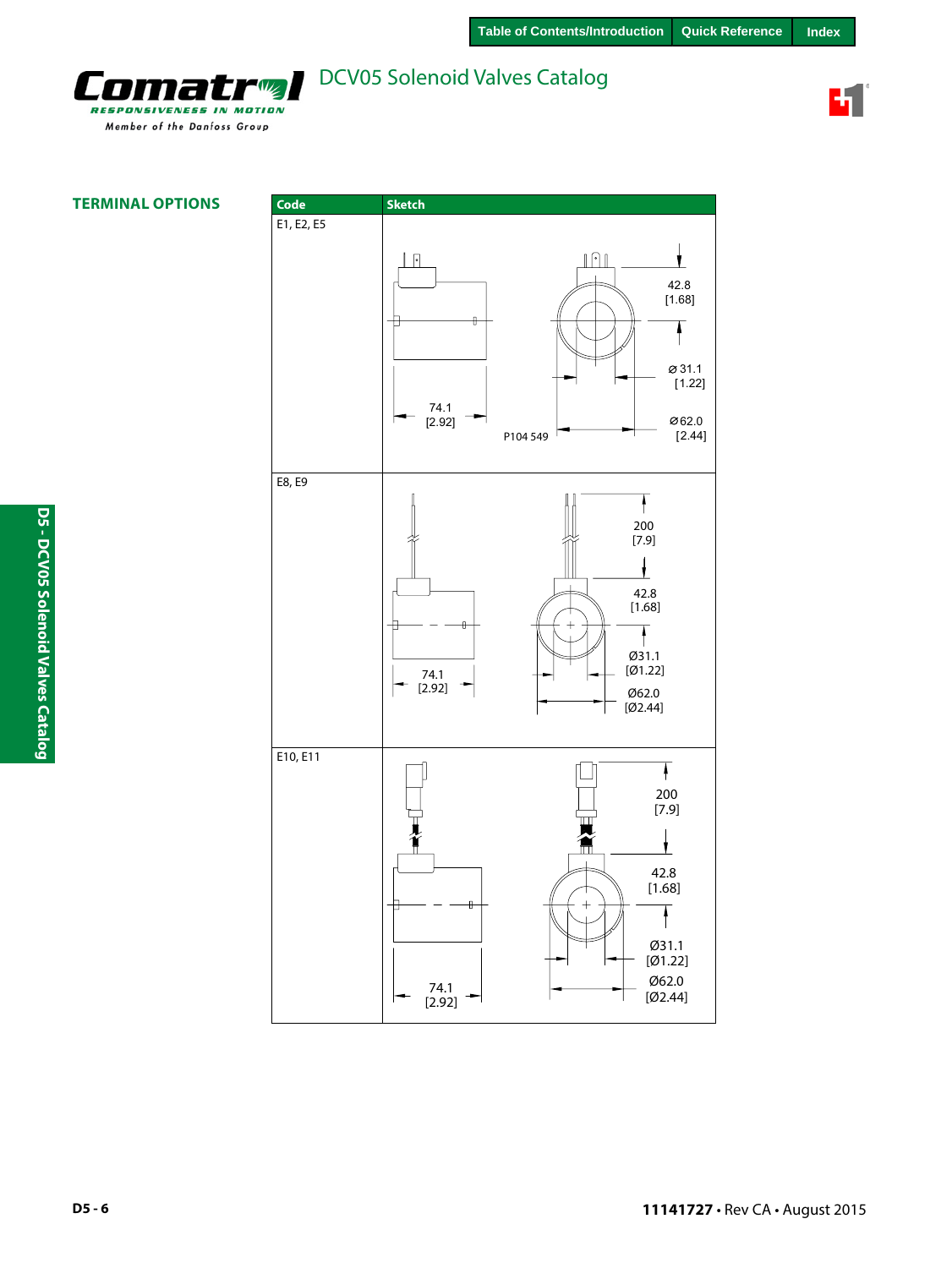

Ŧ

**TERMINAL OPTIONS**

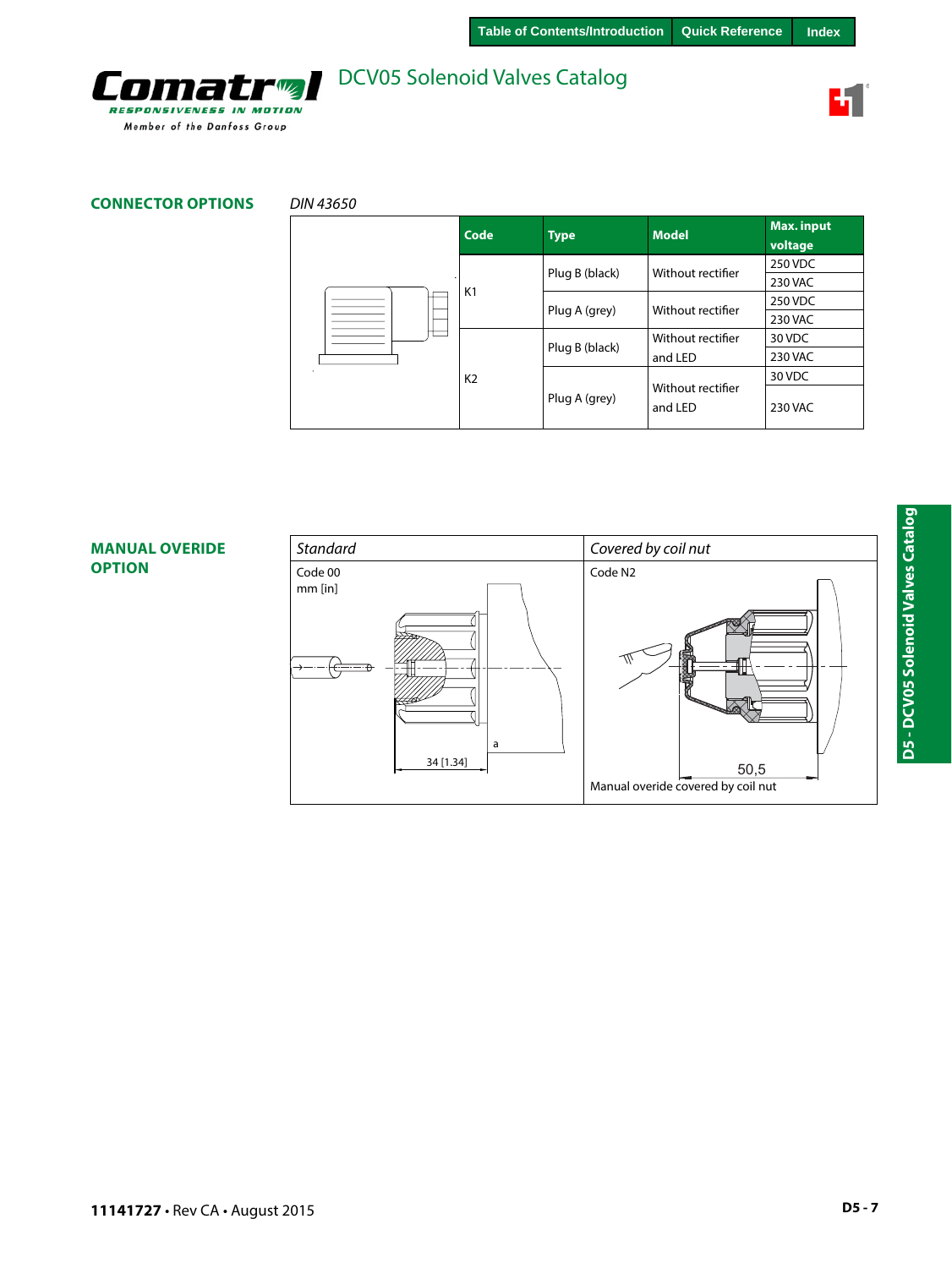

### **CONNECTOR OPTIONS** *DIN 43650*

omatro

**RESPONSIVENESS IN MOTION** Member of the Danfoss Group

|  | Code           | <b>Type</b>    | <b>Model</b>                 | Max. input<br>voltage |
|--|----------------|----------------|------------------------------|-----------------------|
|  |                | Plug B (black) | Without rectifier            | 250 VDC               |
|  |                |                |                              | <b>230 VAC</b>        |
|  | K1             | Plug A (grey)  | Without rectifier            | 250 VDC               |
|  |                |                |                              | 230 VAC               |
|  | K <sub>2</sub> | Plug B (black) | Without rectifier            | 30 VDC                |
|  |                |                | and LED                      | <b>230 VAC</b>        |
|  |                | Plug A (grey)  |                              | 30 VDC                |
|  |                |                | Without rectifier<br>and LED | <b>230 VAC</b>        |

### **MANUAL OVERIDE OPTION**

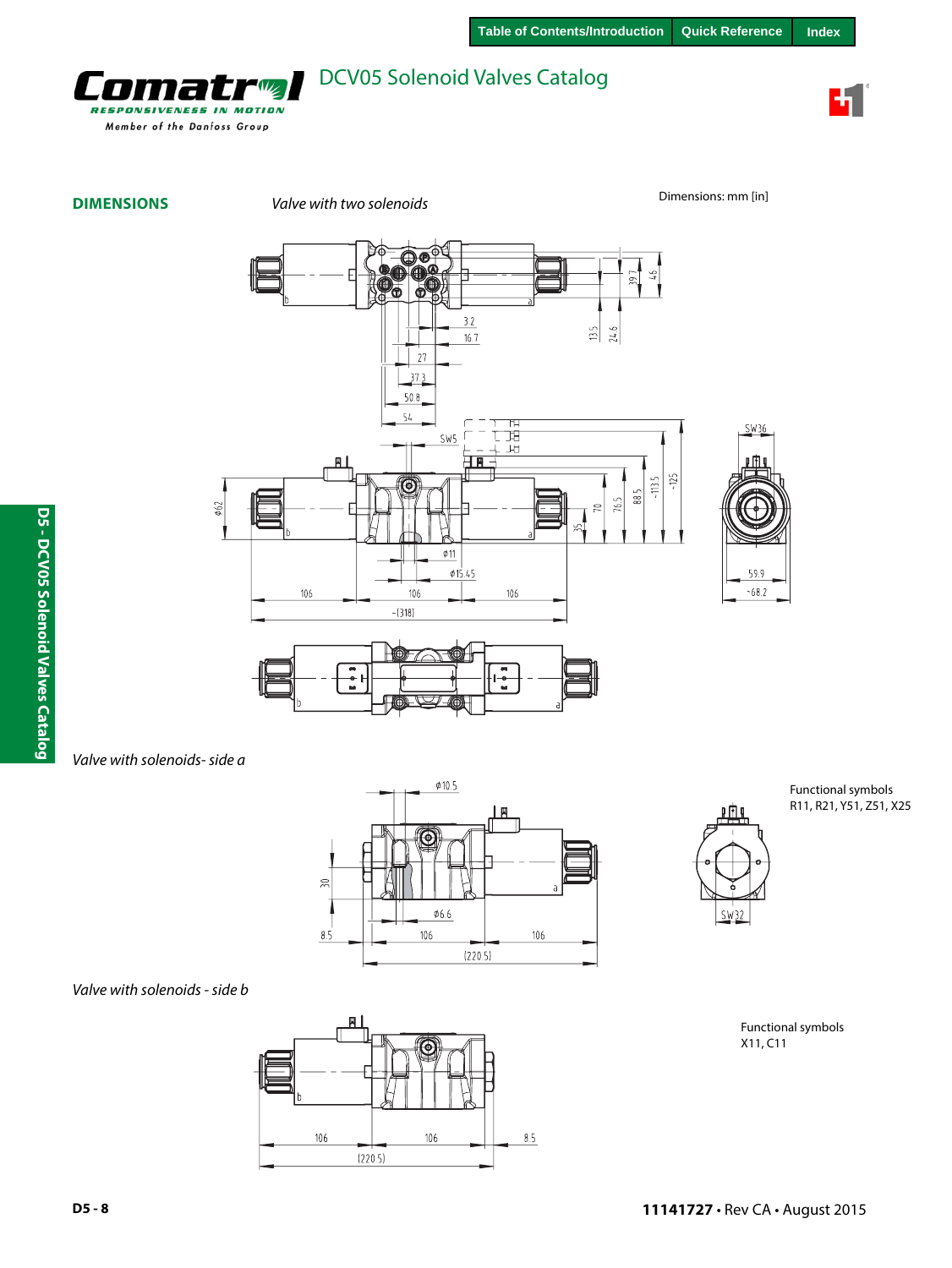

7 **RESPONSIVENESS IN MOTION** Member of the Danfoss Group

**DIMENSIONS** *Valve with two solenoids* **Dimensions:** mm [in]







*Valve with solenoids- side a*





Functional symbols R11, R21, Y51, Z51, X25





Functional symbols X11, C11

SW36

59.9

 $-68.2$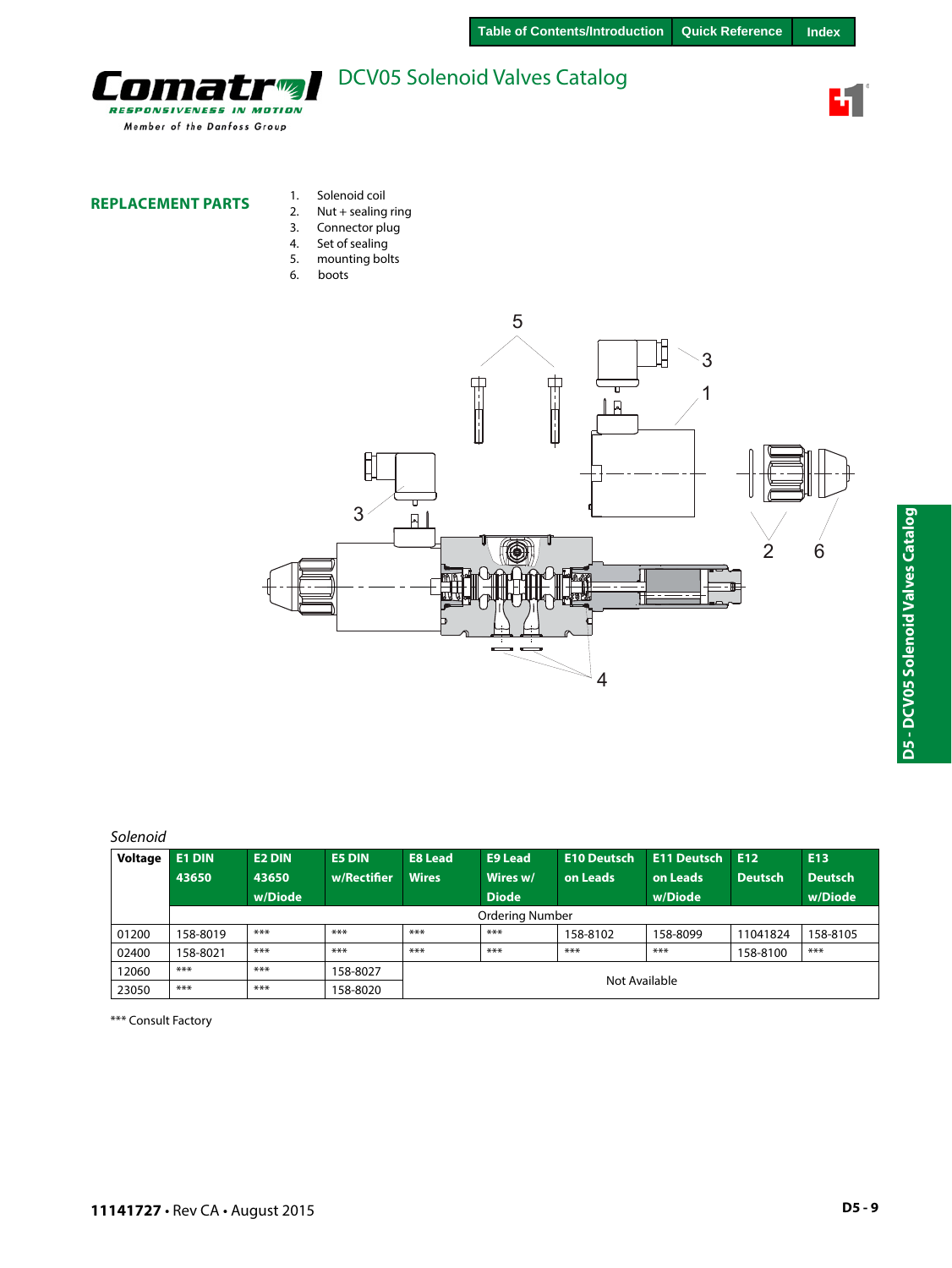

#### **REPLACEMENT PARTS**

r,

Ħ **RESPONSIVENESS IN MOTION** Member of the Danfoss Group

- 1. Solenoid coil 2. Nut + sealing ring
- 3. Connector plug<br>4. Set of sealing
- 4. Set of sealing<br>5. mounting bol mounting bolts
- 6. boots
- 5 ₿ 3 **The Second Second THE** 1  $\overline{P}$ Î 3  $\overline{R}$ 2 6  $\equiv$  $\blacksquare$ ₹ 4

### *Solenoid*

| Voltage | <b>E1 DIN</b><br>43650 | <b>E2 DIN</b><br>43650<br>w/Diode | <b>E5 DIN</b><br>w/Rectifier | <b>E8 Lead</b><br><b>Wires</b> | <b>E9 Lead</b><br>Wires w/<br><b>Diode</b> | <b>E10 Deutsch</b><br>on Leads | <b>E11 Deutsch</b><br>on Leads<br>w/Diode | E12<br>Deutsch | E <sub>13</sub><br><b>Deutsch</b><br>w/Diode |
|---------|------------------------|-----------------------------------|------------------------------|--------------------------------|--------------------------------------------|--------------------------------|-------------------------------------------|----------------|----------------------------------------------|
|         |                        |                                   |                              |                                | <b>Ordering Number</b>                     |                                |                                           |                |                                              |
| 01200   | 158-8019               | ***                               | ***                          | ***                            | $***$                                      | 158-8102                       | 158-8099                                  | 11041824       | 158-8105                                     |
| 02400   | 158-8021               | ***                               | ***                          | ***                            | $***$                                      | $***$                          | ***                                       | 158-8100       | ***                                          |
| 12060   | $***$                  | ***                               | 158-8027                     |                                |                                            |                                |                                           |                |                                              |
| 23050   | $***$                  | ***                               | 158-8020                     | Not Available                  |                                            |                                |                                           |                |                                              |

\*\*\* Consult Factory